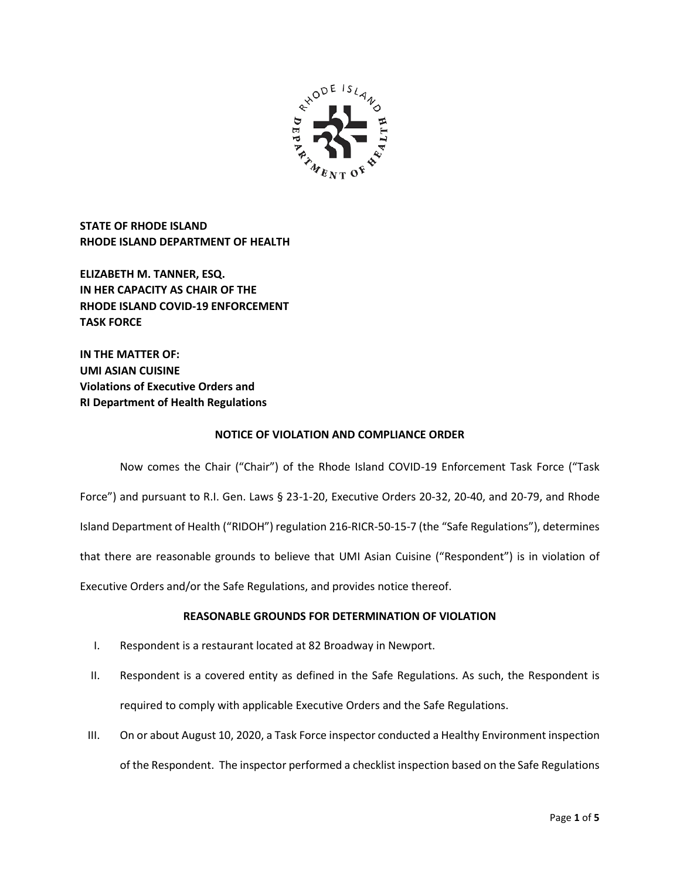

**STATE OF RHODE ISLAND RHODE ISLAND DEPARTMENT OF HEALTH**

**ELIZABETH M. TANNER, ESQ. IN HER CAPACITY AS CHAIR OF THE RHODE ISLAND COVID-19 ENFORCEMENT TASK FORCE** 

**IN THE MATTER OF: UMI ASIAN CUISINE Violations of Executive Orders and RI Department of Health Regulations**

### **NOTICE OF VIOLATION AND COMPLIANCE ORDER**

Now comes the Chair ("Chair") of the Rhode Island COVID-19 Enforcement Task Force ("Task Force") and pursuant to R.I. Gen. Laws § 23-1-20, Executive Orders 20-32, 20-40, and 20-79, and Rhode Island Department of Health ("RIDOH") regulation 216-RICR-50-15-7 (the "Safe Regulations"), determines that there are reasonable grounds to believe that UMI Asian Cuisine ("Respondent") is in violation of Executive Orders and/or the Safe Regulations, and provides notice thereof.

# **REASONABLE GROUNDS FOR DETERMINATION OF VIOLATION**

- I. Respondent is a restaurant located at 82 Broadway in Newport.
- II. Respondent is a covered entity as defined in the Safe Regulations. As such, the Respondent is required to comply with applicable Executive Orders and the Safe Regulations.
- III. On or about August 10, 2020, a Task Force inspector conducted a Healthy Environment inspection of the Respondent. The inspector performed a checklist inspection based on the Safe Regulations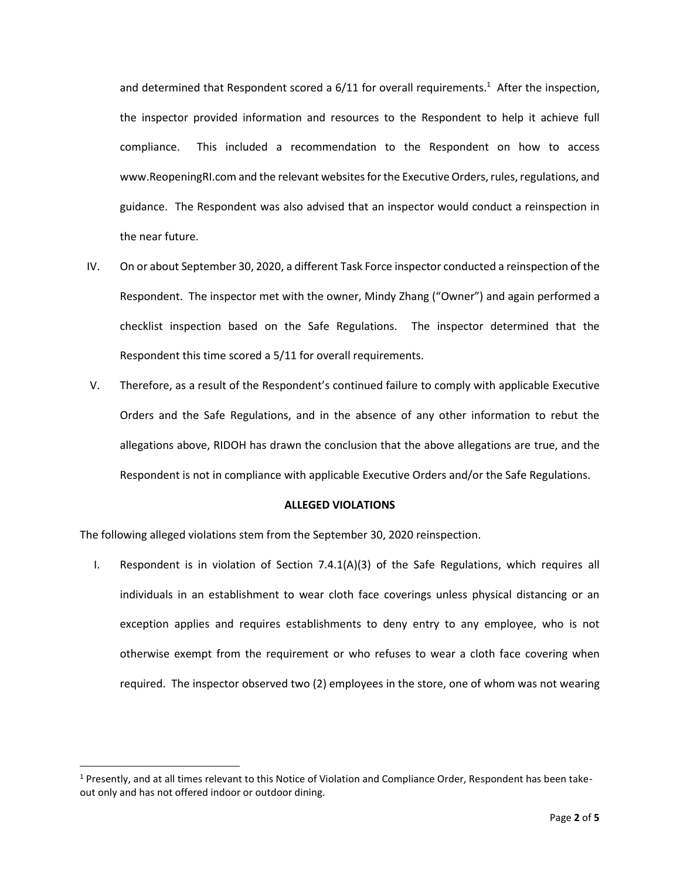and determined that Respondent scored a  $6/11$  for overall requirements.<sup>1</sup> After the inspection, the inspector provided information and resources to the Respondent to help it achieve full compliance. This included a recommendation to the Respondent on how to access www.ReopeningRI.com and the relevant websites for the Executive Orders, rules, regulations, and guidance. The Respondent was also advised that an inspector would conduct a reinspection in the near future.

- IV. On or about September 30, 2020, a different Task Force inspector conducted a reinspection of the Respondent. The inspector met with the owner, Mindy Zhang ("Owner") and again performed a checklist inspection based on the Safe Regulations. The inspector determined that the Respondent this time scored a 5/11 for overall requirements.
- V. Therefore, as a result of the Respondent's continued failure to comply with applicable Executive Orders and the Safe Regulations, and in the absence of any other information to rebut the allegations above, RIDOH has drawn the conclusion that the above allegations are true, and the Respondent is not in compliance with applicable Executive Orders and/or the Safe Regulations.

### **ALLEGED VIOLATIONS**

The following alleged violations stem from the September 30, 2020 reinspection.

I. Respondent is in violation of Section 7.4.1(A)(3) of the Safe Regulations, which requires all individuals in an establishment to wear cloth face coverings unless physical distancing or an exception applies and requires establishments to deny entry to any employee, who is not otherwise exempt from the requirement or who refuses to wear a cloth face covering when required. The inspector observed two (2) employees in the store, one of whom was not wearing

<sup>1</sup> Presently, and at all times relevant to this Notice of Violation and Compliance Order, Respondent has been takeout only and has not offered indoor or outdoor dining.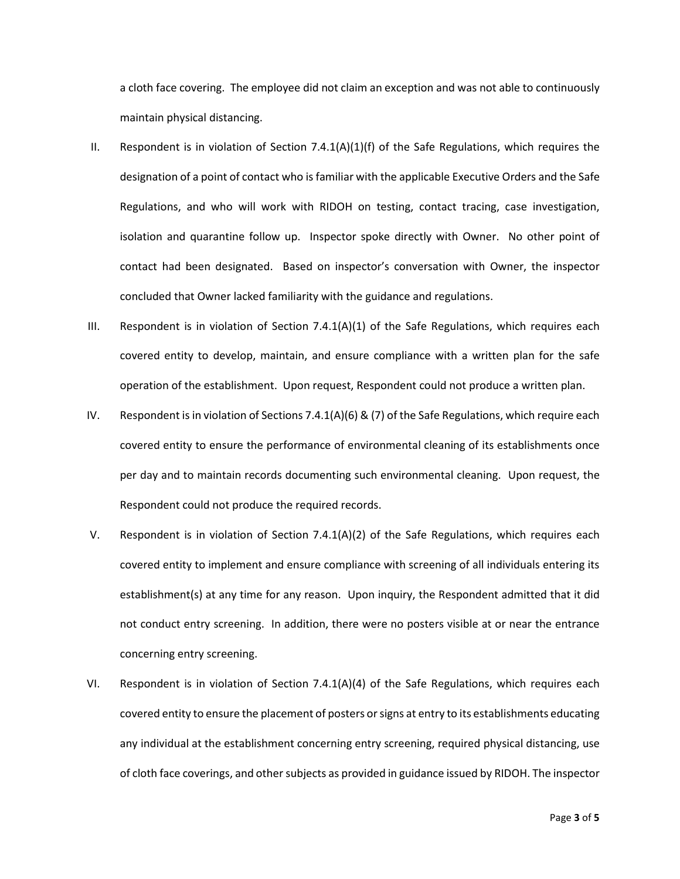a cloth face covering. The employee did not claim an exception and was not able to continuously maintain physical distancing.

- II. Respondent is in violation of Section 7.4.1(A)(1)(f) of the Safe Regulations, which requires the designation of a point of contact who is familiar with the applicable Executive Orders and the Safe Regulations, and who will work with RIDOH on testing, contact tracing, case investigation, isolation and quarantine follow up. Inspector spoke directly with Owner. No other point of contact had been designated. Based on inspector's conversation with Owner, the inspector concluded that Owner lacked familiarity with the guidance and regulations.
- III. Respondent is in violation of Section 7.4.1(A)(1) of the Safe Regulations, which requires each covered entity to develop, maintain, and ensure compliance with a written plan for the safe operation of the establishment. Upon request, Respondent could not produce a written plan.
- IV. Respondent is in violation of Sections 7.4.1(A)(6) & (7) of the Safe Regulations, which require each covered entity to ensure the performance of environmental cleaning of its establishments once per day and to maintain records documenting such environmental cleaning. Upon request, the Respondent could not produce the required records.
- V. Respondent is in violation of Section 7.4.1(A)(2) of the Safe Regulations, which requires each covered entity to implement and ensure compliance with screening of all individuals entering its establishment(s) at any time for any reason. Upon inquiry, the Respondent admitted that it did not conduct entry screening. In addition, there were no posters visible at or near the entrance concerning entry screening.
- VI. Respondent is in violation of Section 7.4.1(A)(4) of the Safe Regulations, which requires each covered entity to ensure the placement of posters or signs at entry to its establishments educating any individual at the establishment concerning entry screening, required physical distancing, use of cloth face coverings, and other subjects as provided in guidance issued by RIDOH. The inspector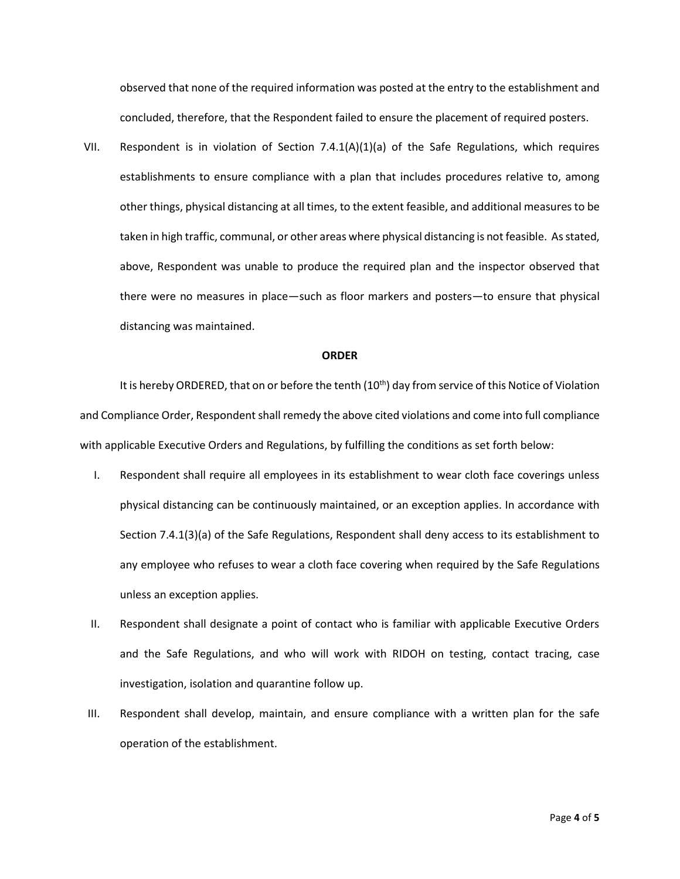observed that none of the required information was posted at the entry to the establishment and concluded, therefore, that the Respondent failed to ensure the placement of required posters.

VII. Respondent is in violation of Section 7.4.1(A)(1)(a) of the Safe Regulations, which requires establishments to ensure compliance with a plan that includes procedures relative to, among other things, physical distancing at all times, to the extent feasible, and additional measures to be taken in high traffic, communal, or other areas where physical distancing is not feasible. As stated, above, Respondent was unable to produce the required plan and the inspector observed that there were no measures in place—such as floor markers and posters—to ensure that physical distancing was maintained.

#### **ORDER**

It is hereby ORDERED, that on or before the tenth (10<sup>th</sup>) day from service of this Notice of Violation and Compliance Order, Respondent shall remedy the above cited violations and come into full compliance with applicable Executive Orders and Regulations, by fulfilling the conditions as set forth below:

- I. Respondent shall require all employees in its establishment to wear cloth face coverings unless physical distancing can be continuously maintained, or an exception applies. In accordance with Section 7.4.1(3)(a) of the Safe Regulations, Respondent shall deny access to its establishment to any employee who refuses to wear a cloth face covering when required by the Safe Regulations unless an exception applies.
- II. Respondent shall designate a point of contact who is familiar with applicable Executive Orders and the Safe Regulations, and who will work with RIDOH on testing, contact tracing, case investigation, isolation and quarantine follow up.
- III. Respondent shall develop, maintain, and ensure compliance with a written plan for the safe operation of the establishment.